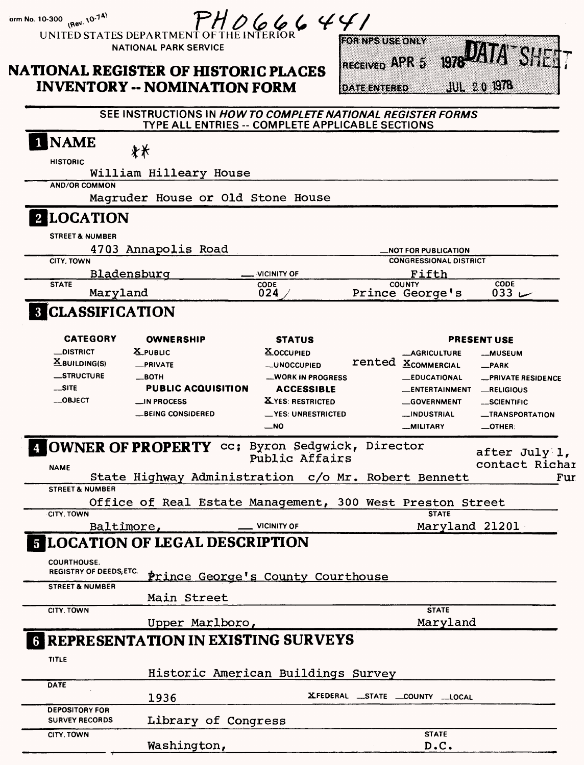|                                                                                                | UNITED STATES DEPARTMENT OF THE INTERIOR<br><b>NATIONAL PARK SERVICE</b><br><b>NATIONAL REGISTER OF HISTORIC PLACES</b><br><b>INVENTORY -- NOMINATION FORM</b> | PHO66644                                                                                                                                        | <b>LORNES USE ONLY</b><br>RECEIVED APR 5<br><b>DATE ENTERED</b> |                                                                                                 | <b>1978 LATA SHET</b><br>$JUL$ 2.0 1978                                                  |
|------------------------------------------------------------------------------------------------|----------------------------------------------------------------------------------------------------------------------------------------------------------------|-------------------------------------------------------------------------------------------------------------------------------------------------|-----------------------------------------------------------------|-------------------------------------------------------------------------------------------------|------------------------------------------------------------------------------------------|
|                                                                                                | SEE INSTRUCTIONS IN HOW TO COMPLETE NATIONAL REGISTER FORMS<br>TYPE ALL ENTRIES -- COMPLETE APPLICABLE SECTIONS                                                |                                                                                                                                                 |                                                                 |                                                                                                 |                                                                                          |
| <b>NAME</b><br><b>HISTORIC</b>                                                                 | **<br>William Hilleary House                                                                                                                                   |                                                                                                                                                 |                                                                 |                                                                                                 |                                                                                          |
| <b>AND/OR COMMON</b>                                                                           | Magruder House or Old Stone House                                                                                                                              |                                                                                                                                                 |                                                                 |                                                                                                 |                                                                                          |
| 2 LOCATION<br><b>STREET &amp; NUMBER</b><br><b>CITY. TOWN</b>                                  | 4703 Annapolis Road                                                                                                                                            |                                                                                                                                                 |                                                                 | <b>NOT FOR PUBLICATION</b><br><b>CONGRESSIONAL DISTRICT</b>                                     |                                                                                          |
| <b>STATE</b><br>Maryland                                                                       | Bladensburg                                                                                                                                                    | VICINITY OF<br>CODE<br>024                                                                                                                      |                                                                 | Fifth<br><b>COUNTY</b><br>Prince George's                                                       | CODE<br>033 $-$                                                                          |
| <b>8 CLASSIFICATION</b>                                                                        | <b>OWNERSHIP</b>                                                                                                                                               | <b>STATUS</b>                                                                                                                                   |                                                                 |                                                                                                 | <b>PRESENT USE</b>                                                                       |
| <b>CATEGORY</b>                                                                                | X_PUBLIC                                                                                                                                                       | <b>XOCCUPIED</b>                                                                                                                                |                                                                 | <b>__AGRICULTURE</b><br>rented <b>XCOMMERCIAL</b>                                               | <b>__MUSEUM</b><br>$-PARK$                                                               |
| <b>_DISTRICT</b><br>$\underline{\mathbf{X}}$ BUILDING(S)<br>_STRUCTURE<br>$-$ SITE<br>__OBJECT | <b>_PRIVATE</b><br>__вотн<br><b>PUBLIC ACQUISITION</b><br>$\Box$ IN PROCESS<br><b>__BEING CONSIDERED</b>                                                       | <b>__UNOCCUPIED</b><br><b>__WORK IN PROGRESS</b><br><b>ACCESSIBLE</b><br>X YES: RESTRICTED<br>_YES: UNRESTRICTED<br>$\overline{\phantom{0}}$ NO |                                                                 | <b>__EDUCATIONAL</b><br><b>ENTERTAINMENT</b><br>__GOVERNMENT<br>__INDUSTRIAL<br><b>MILITARY</b> | -PRIVATE RESIDENCE<br>_RELIGIOUS<br>__SCIENTIFIC<br><b>_TRANSPORTATION</b><br>$-$ OTHER: |

### Baltimore, **VICINITY OF LOCATION OF LEGAL DESCRIPTION**

Washington,

| $\bullet$                                            |                                             |                                 |
|------------------------------------------------------|---------------------------------------------|---------------------------------|
| <b>COURTHOUSE.</b><br><b>REGISTRY OF DEEDS, ETC.</b> | Prince George's County Courthouse           |                                 |
| <b>STREET &amp; NUMBER</b>                           |                                             |                                 |
|                                                      | Main Street                                 |                                 |
| CITY. TOWN                                           |                                             | <b>STATE</b>                    |
|                                                      | Upper Marlboro,                             | Maryland                        |
| TITLE                                                | <b>G REPRESENTATION IN EXISTING SURVEYS</b> |                                 |
|                                                      | Historic American Buildings Survey          |                                 |
| <b>DATE</b>                                          |                                             |                                 |
|                                                      | 1936                                        | XFEDERAL _STATE _COUNTY __LOCAL |
| <b>DEPOSITORY FOR</b><br><b>SURVEY RECORDS</b>       | Library of Congress                         |                                 |
| CITY. TOWN                                           |                                             | <b>STATE</b>                    |

Maryland 21201

**D.C.**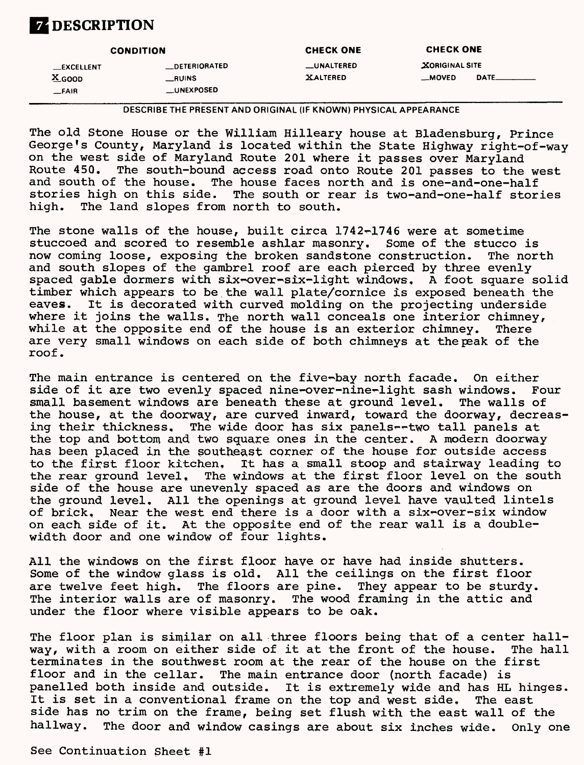## **DESCRIPTION**

|                   | <b>CONDITION</b>     | <b>CHECK ONE</b>  | <b>CHECK ONE</b>      |                              |
|-------------------|----------------------|-------------------|-----------------------|------------------------------|
| <b>LEXCELLENT</b> | <b>LDETERIORATED</b> | <b>LUNALTERED</b> | <b>XORIGINAL SITE</b> |                              |
| $X_{\text{GOOD}}$ | __RUINS              | <b>XALTERED</b>   | __MOVED               | $\mathsf{DATE}\_\_\_\_\_\_\$ |
| <b>__FAIR</b>     | <b>UNEXPOSED</b>     |                   |                       |                              |

**DESCRIBE THE PRESENT AND ORIGINAL (IF KNOWN) PHYSICAL APPEARANCE**

The old Stone House or the William Hilleary house at Bladensburg, Prince George's County, Maryland is located within the State Highway right-of-way on the west side of Maryland Route 201 where it passes over Maryland The south-bound access road onto Route 201 passes to the west and south of the house. The house faces north and is one-and-one-half stories high on this side. The south or rear is two-and-one-half stories high. The land slopes from north to south.

The stone walls of the house, built circa  $1742 - 1746$  were at sometime stuccoed and scored to resemble ashlar masonry. Some of the stucco is<br>now coming loose, exposing the broken sandstone construction. The north now coming loose, exposing the broken sandstone construction. and south slopes of the gambrel roof are each pierced by three evenly spaced gable dormers with six-over-six-light windows. A foot square solid timber which appears to be the wall plate/cornice is exposed beneath the eaves. It is decorated with curved molding on the projecting underside where it joins the walls. The north wall conceals one interior chimney, while at the opposite end of the house is an exterior chimney. There are very small windows on each side of both chimneys at the peak of the roof.

The main entrance is centered on the five-bay north facade. On either side of it are two evenly spaced nine-over-nine-light sash windows. Four small basement windows are beneath these at ground level. The walls of the house, at the doorway, are curved inward, toward the doorway, decreasing their thickness. The wide door has six panels--two tall panels at the top and bottom and, two square ones in the center. A modern doorway has been placed in the southeast corner of the house for outside access<br>to the first floor kitchen. It has a small stoop and stairway leading to the first floor kitchen, It has a small stoop and stairway leading to<br>the rear ground level, The windows at the first floor level on the south The windows at the first floor level on the south side of the house are unevenly spaced as are the doors and windows on the ground level. All the openings at ground level have vaulted lintels of brick. Near the west end there is a door with a six~over-six window on each side of it. At the opposite end of the rear wall is a doublewidth door and one window of four lights.

All the windows on the first floor have or have had inside shutters. Some of the window glass is old. All the ceilings on the first floor are twelve feet high. The floors are pine. They appear to be sturdy. The interior walls are of masonry. The wood framing in the attic and under the floor where visible appears to be oak.

The floor plan is similar on all three floors being that of a center hallway, with a room on either side of it at the front of the house. The hall terminates in the southwest room at the rear of the house on the first floor and in the cellar. The main entrance door (north facade) is panelled both inside and outside. It is extremely wide and has HL hinges. It is set in a conventional frame on the top and west side. The east side has no trim on the frame, being set flush with the east wall of the hallway. The door and window casings are about six inches wide. Only one

See Continuation Sheet #1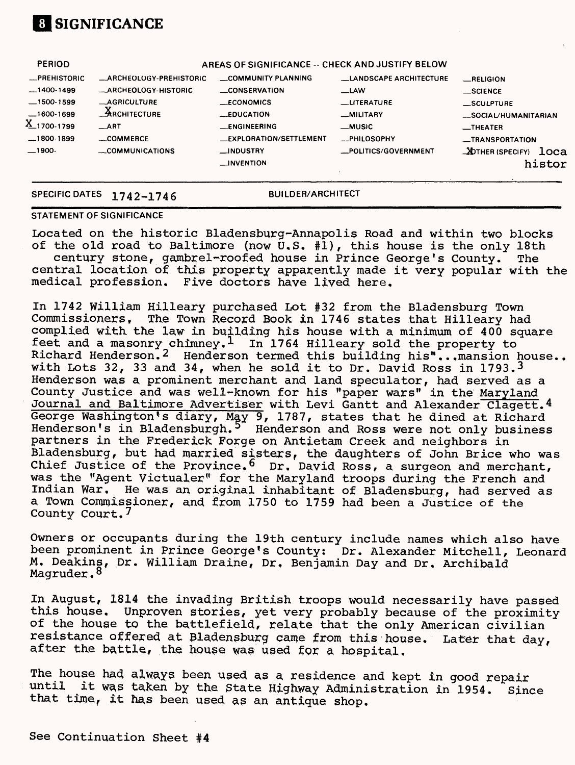# **01 SIGNIFICANCE**

| <b>PERIOD</b>       | AREAS OF SIGNIFICANCE -- CHECK AND JUSTIFY BELOW |                                |                               |                                 |  |
|---------------------|--------------------------------------------------|--------------------------------|-------------------------------|---------------------------------|--|
| <b>_PREHISTORIC</b> | <b>_ARCHEOLOGY-PREHISTORIC</b>                   | COMMUNITY PLANNING             | <b>LANDSCAPE ARCHITECTURE</b> | RELIGION                        |  |
| $-1400-1499$        | <b>_ARCHEOLOGY-HISTORIC</b>                      | <b>__CONSERVATION</b>          | $-LAW$                        | _SCIENCE                        |  |
| $-1500-1599$        | $-$ AGRICULTURE                                  | <b>ECONOMICS</b>               | <b>LITERATURE</b>             | $\_$ SCULPTURE                  |  |
| $-1600-1699$        | $A$ RCHITECTURE                                  | $\_EDUCA$ TION                 | -MILITARY                     | _SOCIAL/HUMANITARIAN            |  |
| X_1700-1799         | ART                                              | <b>ENGINEERING</b>             | $\equiv$ MUSIC                | $I$ HEATER                      |  |
| $-1800-1899$        | COMMERCE                                         | <b>LEXPLORATION/SETTLEMENT</b> | <b>_PHILOSOPHY</b>            | _TRANSPORTATION                 |  |
| $-1900-$            | $\sim$ COMMUNICATIONS                            | _INDUSTRY                      | _POLITICS/GOVERNMENT          | <b>DOTHER (SPECIFY)</b><br>loca |  |
|                     |                                                  | $\Box$ INVENTION               |                               | histor                          |  |
|                     |                                                  |                                |                               |                                 |  |

### **SPECIFIC DATES 1742-1746 BUILDER/ARCHITECT**

#### **STATEMENT OF SIGNIFICANCE**

Located on the historic Bladensburg-Annapolis Road and within two blocks of the old road to Baltimore (now  $\tilde{U}$ , S.  $\sharp \hat{1}$ ), this house is the only 18th century stone, gambrel-roofed house in Prince George's County. The central location of this property apparently made it very popular with the medical profession. Five doctors have lived here.

In 1742 William Hilleary purchased Lot #32 from the Bladensburg Town Commissioners, The Town Record Book in 1746 states that Hilleary had complied with the law in building his house with a minimum of 400 square feet and a masonry chimney. 1 In 1764 Hilleary sold the property to Richard Henderson. 2 Henderson termed this building his"...mansion house., with Lots 32, 33 and 34, when he sold it to Dr. David Ross in 1793. 3 Henderson was a prominent merchant and land speculator, had served as a County Justice and was well-known for his "paper wars" in the Maryland Journal and Baltimore Advertiser with Levi Gantt and Alexander Clagett.4 George Washington's diary, May 9, 1787, states that he dined at Richard Henderson's in Bladensburgh.<sup>5</sup> Henderson and Ross were not only business partners in the Frederick Forge on Antietam Creek and neighbors in Bladensburg, but had married sisters, the daughters of John Brice who was Chief Justice of the Province. 6 Dr. David Ross, a surgeon and merchant, was the "Agent Victualer" for the Maryland troops during the French and Indian War. He was an original inhabitant of Bladensburg, had served as a Town Commissioner, and from 1750 to 1759 had been a Justice of the County Court.<sup>7</sup>

Owners or occupants during the 19th century include names which also have been prominent in Prince George's County: Dr. Alexander Mitchell, Leonard M, Deakins, Dr. William Draine, Dr. Benjamin Day and Dr. Archibald Magruder.<sup>8</sup>

In August, 1814 the invading British troops would necessarily have passed this house, Unproven stories, yet very probably because of the proximity of the house to the battlefield, relate that the only American civilian resistance offered at Bladensburg came from this house, Later that day, after the battle, the house was used for a hospital.

The house had always been used as a residence and kept in good repair<br>until it was taken by the State Highway Administration in 1954. Sinc it was taken by the State Highway Administration in 1954. Since that time, it has been used as an antique shop.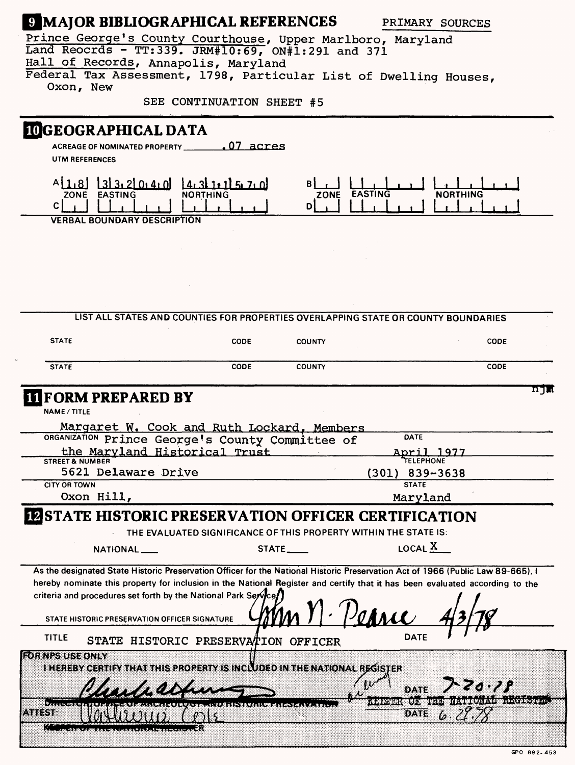## **Q MAJOR BIBLIOGRAPHICAL REFERENCES** PRIMARY SOURCES

Prince George's County Courthouse, Upper Marlboro, Maryland Land Reocrds - TT:339. JRM#10:69, ON#1:291 and 371 Hall of Records, Annapolis, Maryland Federal Tax Assessment, 1798, Particular List of Dwelling Houses,

Oxon, New

SEE CONTINUATION SHEET #5

## **LOGEOGRAPHICAL DATA**

**ACREAGE OF NOMINATED PROPERTY.**  .07 acres **UTM REFERENCES**



|                                                                                                                                                                                                | LIST ALL STATES AND COUNTIES FOR PROPERTIES OVERLAPPING STATE OR COUNTY BOUNDARIES |                                  |                        |                                                                                 |
|------------------------------------------------------------------------------------------------------------------------------------------------------------------------------------------------|------------------------------------------------------------------------------------|----------------------------------|------------------------|---------------------------------------------------------------------------------|
| <b>STATE</b>                                                                                                                                                                                   | <b>CODE</b>                                                                        | <b>COUNTY</b>                    |                        | <b>CODE</b>                                                                     |
| <b>STATE</b>                                                                                                                                                                                   | <b>CODE</b>                                                                        | <b>COUNTY</b>                    |                        | CODE                                                                            |
| <b>IT FORM PREPARED BY</b>                                                                                                                                                                     |                                                                                    |                                  |                        | ת דמ                                                                            |
| <b>NAME / TITLE</b>                                                                                                                                                                            |                                                                                    |                                  |                        |                                                                                 |
| Margaret W. Cook and Ruth Lockard, Members                                                                                                                                                     |                                                                                    |                                  |                        |                                                                                 |
| ORGANIZATION Prince George's County Committee of                                                                                                                                               |                                                                                    |                                  | DATE                   |                                                                                 |
| the Maryland Historical Trust                                                                                                                                                                  |                                                                                    |                                  | April 1977             |                                                                                 |
| <b>STREET &amp; NUMBER</b><br>5621 Delaware Drive                                                                                                                                              |                                                                                    |                                  | <b>TELEPHONE</b>       |                                                                                 |
| <b>CITY OR TOWN</b>                                                                                                                                                                            |                                                                                    | $(301)$ 839-3638<br><b>STATE</b> |                        |                                                                                 |
| Oxon Hill,                                                                                                                                                                                     | Maryland                                                                           |                                  |                        |                                                                                 |
| <b>IN STATE HISTORIC PRESERVATION OFFICER CERTIFICATION</b><br>NATIONAL <sub>---</sub>                                                                                                         | THE EVALUATED SIGNIFICANCE OF THIS PROPERTY WITHIN THE STATE IS:                   | $STATE$ <sub>----</sub>          | LOCAL X                |                                                                                 |
| As the designated State Historic Preservation Officer for the National Historic Preservation Act of 1966 (Public Law 89-665), I                                                                |                                                                                    |                                  |                        |                                                                                 |
| hereby nominate this property for inclusion in the National Register and certify that it has been evaluated according to the<br>criteria and procedures set forth by the National Park Service |                                                                                    |                                  |                        |                                                                                 |
| STATE HISTORIC PRESERVATION OFFICER SIGNATURE                                                                                                                                                  |                                                                                    |                                  | $\mathcal{V}$ ohnee    |                                                                                 |
| <b>TITLE</b>                                                                                                                                                                                   | STATE HISTORIC PRESERVATION OFFICER                                                |                                  | <b>DATE</b>            |                                                                                 |
| <b>FOR NPS USE ONLY</b>                                                                                                                                                                        |                                                                                    |                                  |                        |                                                                                 |
| I HEREBY CERTIFY THAT THIS PROPERTY IS INCLUDED IN THE NATIONAL REGISTER                                                                                                                       |                                                                                    |                                  |                        |                                                                                 |
|                                                                                                                                                                                                |                                                                                    |                                  | DATE                   | IS ZZ CENT                                                                      |
| $82$ x x x w ws                                                                                                                                                                                |                                                                                    |                                  | äom<br>$\sim$ , $\sim$ | ស្តែង ( <b>ស.ភេខ<u>ឃុំឈូ</u>ខ.</b> ឧ.ភ <b>.</b> ឧ <sub>ភ</sub> ា ស្តេច ស្តែ នេះ |
| An S                                                                                                                                                                                           |                                                                                    |                                  | DATE                   | ь.                                                                              |
|                                                                                                                                                                                                |                                                                                    |                                  |                        |                                                                                 |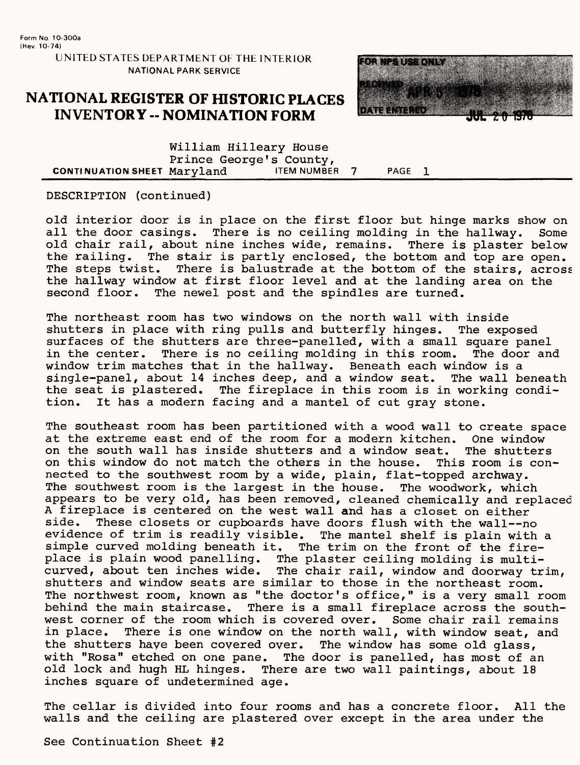### **NATIONAL REGISTER OF HISTORIC PLACES INVENTORY - NOMINATION FORM**



William Hilleary House Prince George's County,<br>Marvland TEM NUMBER 7 CONTINUATION SHEET Maryland ITEM NUMBER 7 PAGE 1

DESCRIPTION (continued)

old interior door is in place on the first floor but hinge marks show on all the door casings. There is no ceiling molding in the hallway. Some old chair rail, about nine inches wide, remains. There is plaster below the railing. The stair is partly enclosed, the bottom and top are open. The steps twist. There is balustrade at the bottom of the stairs, across the hallway window at first floor level and at the landing area on the second floor. The newel post and the spindles are turned. The newel post and the spindles are turned.

The northeast room has two windows on the north wall with inside shutters in place with ring pulls and butterfly hinges. The exposed surfaces of the shutters are three-panelled, with a small square panel<br>in the center. There is no ceiling molding in this room. The door an There is no ceiling molding in this room. The door and window trim matches that in the hallway. Beneath each window is a single-panel, about 14 inches deep, and a window seat. The wall beneath the seat is plastered. The fireplace in this room is in working condi-<br>tion. It has a modern facing and a mantel of cut grav stone. It has a modern facing and a mantel of cut gray stone.

The southeast room has been partitioned with a wood wall to create space at the extreme east end of the room for a modern kitchen. One window<br>on the south wall has inside shutters and a window seat. The shutters on the south wall has inside shutters and a window seat. on this window do not match the others in the house. This room is connected to the southwest room by a wide, plain, flat-topped archway. The southwest room is the largest in the house. The woodwork, which appears to be very old, has been removed, cleaned chemically and replaced A fireplace is centered on the west wall and has a closet on either<br>side. These closets or cupboards have doors flush with the wall--no These closets or cupboards have doors flush with the wall--no evidence of trim is readily visible. The mantel shelf is plain with a simple curved molding beneath it. The trim on the front of the fireplace is plain wood panelling. The plaster ceiling molding is multicurved, about ten inches wide. The chair rail, window and doorway trim, shutters and window seats are similar to those in the northeast room. The northwest room, known as "the doctor's office," is a very small room<br>behind the main staircase. There is a small fireplace across the south-There is a small fireplace across the southwest corner of the room which is covered over. Some chair rail remains in place. There is one window on the north wall, with window seat, and the shutters haye been covered over. The window has some old glass, with "Rosa" etched on one pane. The door is panelled, has most of an old lock and hugh HL hinges. There are two wall paintings, about 18 inches square of undetermined age.

The cellar is divided into four rooms and has a concrete floor. All the walls and the ceiling are plastered over except in the area under the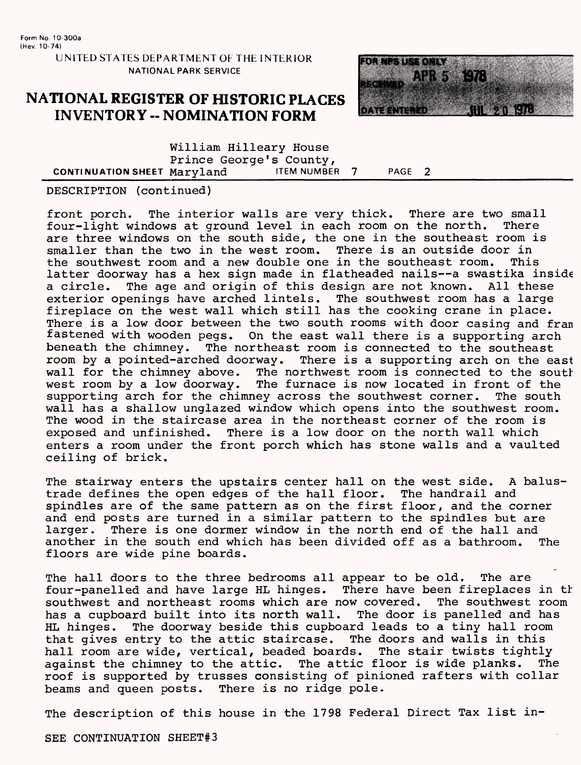### **NATIONAL REGISTER OF HISTORIC PLACES INVENTORY -- NOMINATION FORM**



William Hilleary House Prince George's County,<br>Marvland FIEM NUMBER 7 CONTINUATION SHEET Maryland ITEM NUMBER 7 PAGE 2

#### DESCRIPTION (continued)

front porch. The interior walls are very thick. There are two small<br>four-light windows at ground level in each room on the north. There four-light windows at ground level in each room on the north. are three windows on the south side, the one in the southeast room is<br>smaller than the two in the west room. There is an outside door in smaller than the two in the west room. There is an outside door in<br>the southwest room and a new double one in the southeast room. This the southwest room and a new double one in the southeast room. latter doorway has a hex sign made in flatheaded nails--a swastika inside a circle. The age and origin of this design are not known. All these<br>exterior openings have arched lintels. The southwest room has a large exterior openings have arched lintels. fireplace on the west wall which still has the cooking crane in place. There is a low door between the two south rooms with door casing and fran fastened with wooden pegs. On the east wall there is a supporting arch beneath the chimney. The northeast room is connected to the southeast room by a pointed-arched doorway. There is a supporting arch on the east wall for the chimney above. The northwest room is connected to the south west room by a low doorway. The furnace is now located in front of the supporting arch for the chimney across the southwest corner. The south wall has a shallow unglazed window which opens into the southwest room. The wood in the staircase area in the northeast corner of the room is exposed and unfinished. There is a low door on the north wall which enters a room under the front porch which has stone walls and a vaulted ceiling of brick.

The stairway enters the upstairs center hall on the west side. A balustrade defines the open edges of the hall floor. The handrail and spindles are of the same pattern as on the first floor, and the corner and end posts are turned in a similar pattern to the spindles but are larger. There is one dormer window in the north end of the hall and another in the south end which has been divided off as a bathroom. The another in the south end which has been divided off as a bathroom. floors are wide pine boards.

The hall doors to the three bedrooms all appear to be old. The are four-panelled and have large HL hinges. There have been fireplaces in tt southwest and northeast rooms which are now covered. The southwest room has a cupboard built into its north wall. The door is panelled and has HL hinges. The doorway beside this cupboard leads to a tiny hall room that gives entry to the attic staircase. The doors and walls in this hall room are wide, vertical, beaded boards. The stair twists tightly against the chimney to the attic. The attic floor is wide planks. The roof is supported by trusses consisting of pinioned rafters with collar beams and queen posts. There is no ridge pole.

The description of this house in the 1798 Federal Direct Tax list in-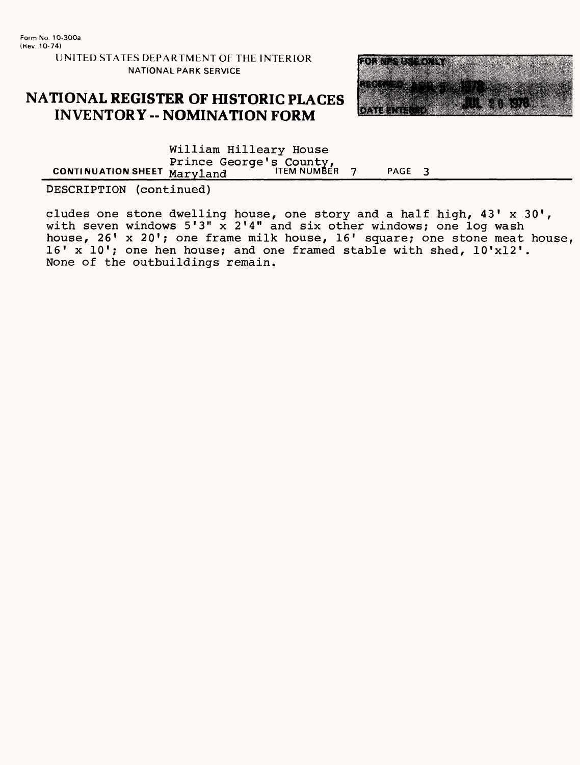### **NATIONAL REGISTER OF HISTORIC PLACES INVENTORY -- NOMINATION FORM**



William Hilleary House Prince George's County,<br>Maryland UIEM NUMBER **CONTINUATION SHEET MATYLAND COULD TITEM NUMBER 7 PAGE 3** 

DESCRIPTION (continued)

eludes one stone dwelling house, one story and a half high, 43' x 30', with seven windows 5'3" x 2'4" and six other windows; one log wash house, 26' x 20'; one frame milk house,  $16'$  square; one stone meat house, 16' x 10'; one hen house; and one framed stable with shed, 10'xl2'. None of the outbuildings remain.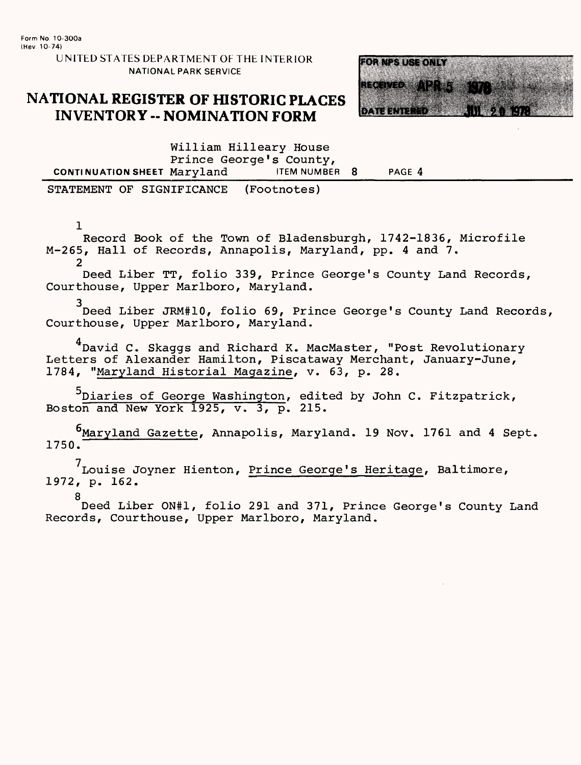### **NATIONAL REGISTER OF HISTORIC PLACES INVENTORY - NOMINATION FORM**



William Hilleary House Prince George's County,<br>Marvland FIEM NUMBER 8 **CONTINUATION SHEET Maryland** ITEM NUMBER 8 PAGE 4

STATEMENT OF SIGNIFICANCE (Footnotes)

 $\mathbf{1}$ 

Record Book of the Town of Bladensburgh, 1742-1836, Microfile M-265, Hall of Records, Annapolis, Maryland, pp. 4 and 7.

2

Deed Liber TT, folio 339, Prince George's County Land Records, Courthouse, Upper Marlboro, Maryland.

3 Deed Liber JRM#10, folio 69, Prince George's County Land Records, Courthouse, Upper Marlboro, Maryland.

<sup>4</sup> David C. Skaggs and Richard K. MacMaster, "Post Revolutionary Letters of Alexander Hamilton, Piscataway Merchant, January-June, 1784, "Maryland Historial Magazine, v. 63, p. 28.

 $^5$ Diaries of George Washington, edited by John C. Fitzpatrick, Boston and New York 1925, v. 3, p. 215.

<sup>6</sup>Maryland Gazette, Annapolis, Maryland. 19 Nov. 1761 and 4 Sept. 1750.

Louise Joyner Hienton, Prince George's Heritage, Baltimore, 1972, p. 162.

8 Deed Liber ON#1, folio 291 and 371, Prince George's County Land Records, Courthouse, Upper Marlboro, Maryland.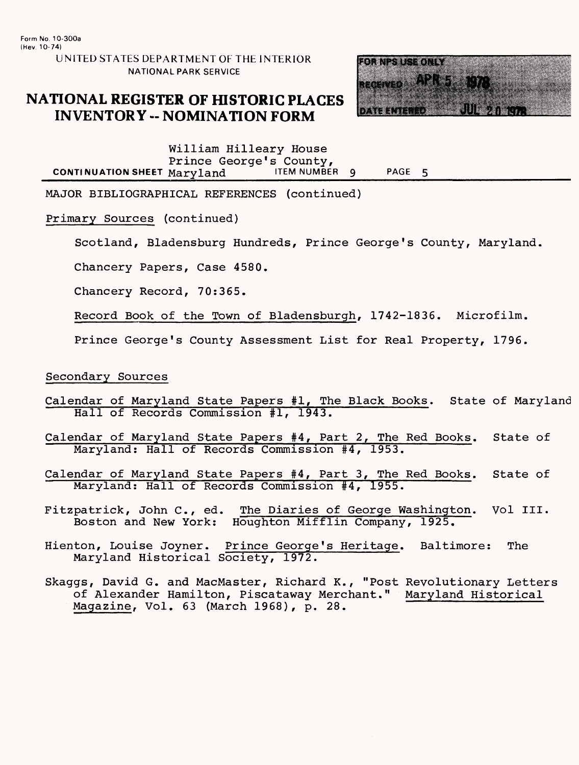### **NATIONAL REGISTER OF HISTORIC PLACES INVENTORY -- NOMINATION FORM**



William Hilleary House Prince George's County, CONTINUATION SHEET Maryland ITEM NUMBER 9 PAGE 5

MAJOR BIBLIOGRAPHICAL REFERENCES (continued)

Primary Sources (continued)

Scotland, Bladensburg Hundreds, Prince George's County, Maryland.

Chancery Papers, Case 4580.

Chancery Record, 70:365.

Record Book of the Town of Bladensburgh, 1742-1836. Microfilm.

Prince George's County Assessment List for Real Property, 1796.

#### Secondary Sources

- Calendar of Maryland State Papers #1, The Black Books. State of Maryland Hall of Records Commission #1, 1943.
- Calendar of Maryland State Papers #4, Part 2, The Red Books. State of Maryland: Hall of Records Commission #4, 1953.
- Calendar of Maryland State Papers #4, Part 3, The Red Books. State of Maryland: Hall of Records Commission #4, 1955.
- Fitzpatrick, John C., ed. The Diaries of George Washington. Vol III.<br>Boston and New York: Houghton Mifflin Company, 1925. Houghton Mifflin Company, 1925.
- Hienton, Louise Joyner. Prince George's Heritage. Baltimore: The Maryland Historical Society, 1972.
- Skaggs, David G. and MacMaster, Richard K., "Post Revolutionary Letters of Alexander Hamilton, Piscataway Merchant." Maryland Historical Magazine, Vol. 63 (March 1968), p. 28.